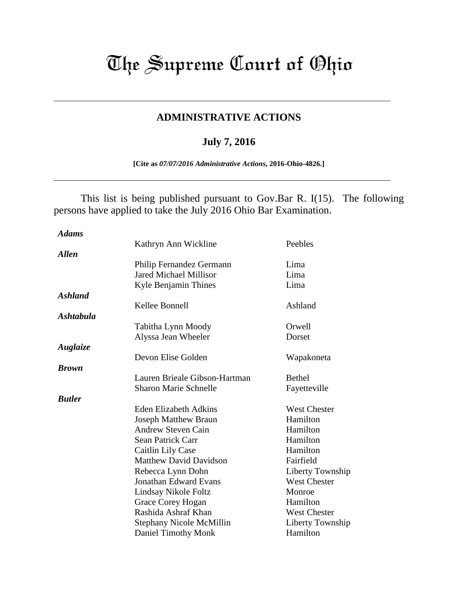## The Supreme Court of Ohio

## **ADMINISTRATIVE ACTIONS**

## **July 7, 2016**

**[Cite as** *07/07/2016 Administrative Actions***, 2016-Ohio-4826.]**

 This list is being published pursuant to Gov.Bar R. I(15). The following persons have applied to take the July 2016 Ohio Bar Examination.

| <b>Adams</b>     |                               |                     |
|------------------|-------------------------------|---------------------|
|                  | Kathryn Ann Wickline          | Peebles             |
| <b>Allen</b>     |                               |                     |
|                  | Philip Fernandez Germann      | Lima                |
|                  | <b>Jared Michael Millisor</b> | Lima                |
|                  | Kyle Benjamin Thines          | Lima                |
| <b>Ashland</b>   |                               |                     |
|                  | Kellee Bonnell                | Ashland             |
| <b>Ashtabula</b> |                               |                     |
|                  | Tabitha Lynn Moody            | Orwell              |
|                  | Alyssa Jean Wheeler           | Dorset              |
| Auglaize         |                               |                     |
|                  | Devon Elise Golden            | Wapakoneta          |
| <b>Brown</b>     |                               |                     |
|                  | Lauren Brieale Gibson-Hartman | <b>Bethel</b>       |
|                  | <b>Sharon Marie Schnelle</b>  | Fayetteville        |
| <b>Butler</b>    |                               |                     |
|                  | <b>Eden Elizabeth Adkins</b>  | <b>West Chester</b> |
|                  | <b>Joseph Matthew Braun</b>   | Hamilton            |
|                  | <b>Andrew Steven Cain</b>     | Hamilton            |
|                  | Sean Patrick Carr             | Hamilton            |
|                  | Caitlin Lily Case             | Hamilton            |
|                  | <b>Matthew David Davidson</b> | Fairfield           |
|                  | Rebecca Lynn Dohn             | Liberty Township    |
|                  | <b>Jonathan Edward Evans</b>  | <b>West Chester</b> |
|                  | Lindsay Nikole Foltz          | Monroe              |
|                  | Grace Corey Hogan             | Hamilton            |
|                  | Rashida Ashraf Khan           | West Chester        |
|                  | Stephany Nicole McMillin      | Liberty Township    |
|                  | Daniel Timothy Monk           | Hamilton            |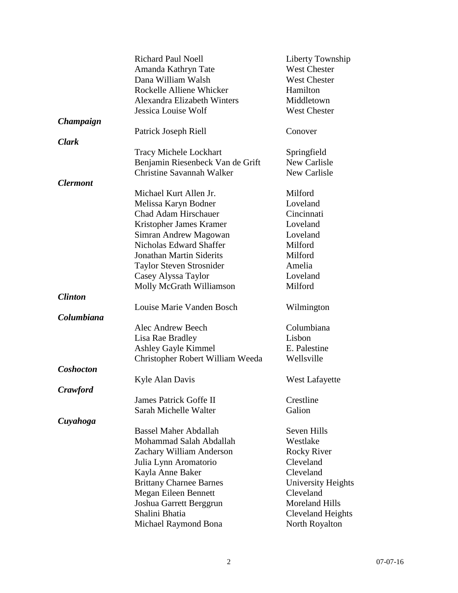|                        | <b>Richard Paul Noell</b><br>Amanda Kathryn Tate | Liberty Township<br><b>West Chester</b> |
|------------------------|--------------------------------------------------|-----------------------------------------|
|                        | Dana William Walsh                               | <b>West Chester</b>                     |
|                        | Rockelle Alliene Whicker                         | Hamilton                                |
|                        | Alexandra Elizabeth Winters                      | Middletown                              |
|                        | Jessica Louise Wolf                              | <b>West Chester</b>                     |
| Champaign              |                                                  |                                         |
|                        | Patrick Joseph Riell                             | Conover                                 |
| <b>Clark</b>           |                                                  |                                         |
|                        | <b>Tracy Michele Lockhart</b>                    | Springfield                             |
|                        | Benjamin Riesenbeck Van de Grift                 | New Carlisle                            |
|                        | <b>Christine Savannah Walker</b>                 | New Carlisle                            |
| <i><b>Clermont</b></i> |                                                  |                                         |
|                        | Michael Kurt Allen Jr.                           | Milford                                 |
|                        | Melissa Karyn Bodner                             | Loveland                                |
|                        | <b>Chad Adam Hirschauer</b>                      | Cincinnati                              |
|                        | Kristopher James Kramer                          | Loveland                                |
|                        | Simran Andrew Magowan                            | Loveland                                |
|                        | Nicholas Edward Shaffer                          | Milford                                 |
|                        | <b>Jonathan Martin Siderits</b>                  | Milford                                 |
|                        | Taylor Steven Strosnider                         | Amelia                                  |
|                        | Casey Alyssa Taylor                              | Loveland                                |
|                        | Molly McGrath Williamson                         | Milford                                 |
| <b>Clinton</b>         |                                                  |                                         |
|                        | Louise Marie Vanden Bosch                        | Wilmington                              |
| Columbiana             |                                                  |                                         |
|                        | Alec Andrew Beech                                | Columbiana                              |
|                        | Lisa Rae Bradley                                 | Lisbon                                  |
|                        | Ashley Gayle Kimmel                              | E. Palestine                            |
|                        | Christopher Robert William Weeda                 | Wellsville                              |
| <b>Coshocton</b>       |                                                  |                                         |
|                        | Kyle Alan Davis                                  | <b>West Lafayette</b>                   |
| <b>Crawford</b>        |                                                  |                                         |
|                        | <b>James Patrick Goffe II</b>                    | Crestline                               |
|                        | Sarah Michelle Walter                            | Galion                                  |
| Cuyahoga               |                                                  |                                         |
|                        | <b>Bassel Maher Abdallah</b>                     | Seven Hills                             |
|                        | Mohammad Salah Abdallah                          | Westlake                                |
|                        | Zachary William Anderson                         | <b>Rocky River</b>                      |
|                        | Julia Lynn Aromatorio                            | Cleveland                               |
|                        | Kayla Anne Baker                                 | Cleveland                               |
|                        | <b>Brittany Charnee Barnes</b>                   | <b>University Heights</b>               |
|                        | Megan Eileen Bennett                             | Cleveland                               |
|                        | Joshua Garrett Berggrun                          | <b>Moreland Hills</b>                   |
|                        | Shalini Bhatia                                   | <b>Cleveland Heights</b>                |
|                        | Michael Raymond Bona                             | North Royalton                          |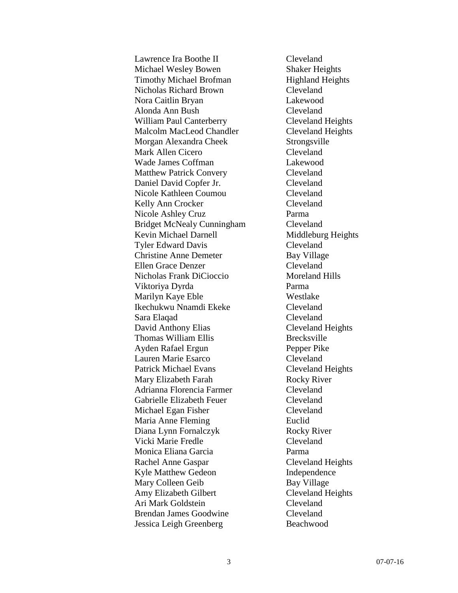Lawrence Ira Boothe II Cleveland Michael Wesley Bowen Shaker Heights Timothy Michael Brofman Highland Heights Nicholas Richard Brown Cleveland Nora Caitlin Bryan Lakewood Alonda Ann Bush Cleveland William Paul Canterberry Cleveland Heights Malcolm MacLeod Chandler Cleveland Heights Morgan Alexandra Cheek Strongsville Mark Allen Cicero Cleveland Wade James Coffman Lakewood Matthew Patrick Convery Cleveland Daniel David Copfer Jr. Cleveland Nicole Kathleen Coumou Cleveland Kelly Ann Crocker Cleveland Nicole Ashley Cruz Parma Bridget McNealy Cunningham Cleveland Kevin Michael Darnell Middleburg Heights Tyler Edward Davis Cleveland Christine Anne Demeter Bay Village Ellen Grace Denzer Cleveland Nicholas Frank DiCioccio Moreland Hills Viktoriya Dyrda Parma Marilyn Kaye Eble Westlake Ikechukwu Nnamdi Ekeke Cleveland Sara Elaqad Cleveland David Anthony Elias Cleveland Heights Thomas William Ellis Brecksville Ayden Rafael Ergun Pepper Pike Lauren Marie Esarco Cleveland Patrick Michael Evans Cleveland Heights Mary Elizabeth Farah Rocky River Adrianna Florencia Farmer Cleveland Gabrielle Elizabeth Feuer Cleveland Michael Egan Fisher Cleveland Maria Anne Fleming **Euclid** Diana Lynn Fornalczyk Rocky River Vicki Marie Fredle Cleveland Monica Eliana Garcia Parma Rachel Anne Gaspar Cleveland Heights Kyle Matthew Gedeon **Independence** Mary Colleen Geib Bay Village Amy Elizabeth Gilbert Cleveland Heights Ari Mark Goldstein Cleveland Brendan James Goodwine Cleveland Jessica Leigh Greenberg Beachwood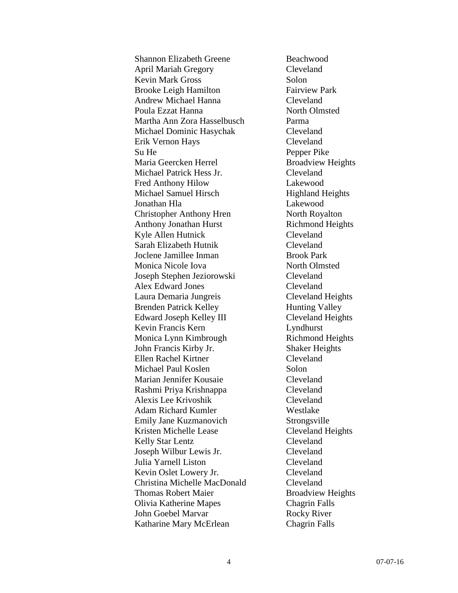Shannon Elizabeth Greene Beachwood April Mariah Gregory Cleveland Kevin Mark Gross Solon Brooke Leigh Hamilton Fairview Park Andrew Michael Hanna Cleveland Poula Ezzat Hanna North Olmsted Martha Ann Zora Hasselbusch Parma Michael Dominic Hasychak Cleveland Erik Vernon Hays Cleveland Su He Pepper Pike Maria Geercken Herrel Broadview Heights Michael Patrick Hess Jr. Cleveland Fred Anthony Hilow Lakewood Michael Samuel Hirsch Highland Heights Jonathan Hla Lakewood Christopher Anthony Hren North Royalton Anthony Jonathan Hurst Richmond Heights Kyle Allen Hutnick Cleveland Sarah Elizabeth Hutnik Cleveland Joclene Jamillee Inman Brook Park Monica Nicole Iova North Olmsted Joseph Stephen Jeziorowski Cleveland Alex Edward Jones Cleveland Laura Demaria Jungreis Cleveland Heights Brenden Patrick Kelley Hunting Valley Edward Joseph Kelley III Cleveland Heights Kevin Francis Kern Lyndhurst Monica Lynn Kimbrough Richmond Heights John Francis Kirby Jr. Shaker Heights Ellen Rachel Kirtner Cleveland Michael Paul Koslen Solon Marian Jennifer Kousaie Cleveland Rashmi Priya Krishnappa Cleveland Alexis Lee Krivoshik Cleveland Adam Richard Kumler Westlake Emily Jane Kuzmanovich Strongsville Kristen Michelle Lease Cleveland Heights Kelly Star Lentz Cleveland Joseph Wilbur Lewis Jr. Cleveland Julia Yarnell Liston Cleveland Kevin Oslet Lowery Jr. Cleveland Christina Michelle MacDonald Cleveland Thomas Robert Maier Broadview Heights Olivia Katherine Mapes Chagrin Falls John Goebel Marvar Rocky River Katharine Mary McErlean Chagrin Falls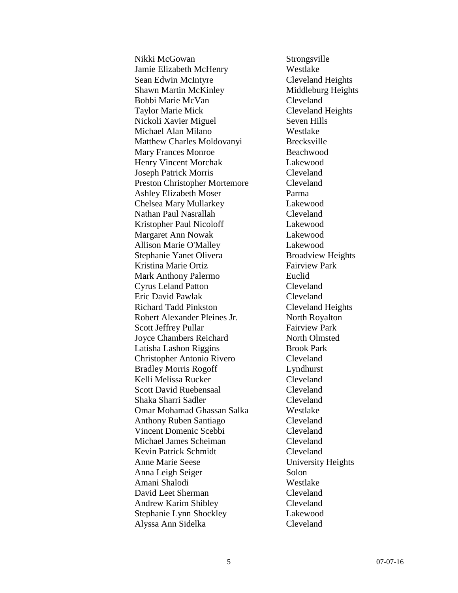Nikki McGowan Strongsville Jamie Elizabeth McHenry Westlake Sean Edwin McIntyre Cleveland Heights Shawn Martin McKinley Middleburg Heights Bobbi Marie McVan Cleveland Taylor Marie Mick Cleveland Heights Nickoli Xavier Miguel Seven Hills Michael Alan Milano Westlake Matthew Charles Moldovanyi Brecksville Mary Frances Monroe Beachwood Henry Vincent Morchak Lakewood Joseph Patrick Morris Cleveland Preston Christopher Mortemore Cleveland Ashley Elizabeth Moser Parma Chelsea Mary Mullarkey Lakewood Nathan Paul Nasrallah Cleveland Kristopher Paul Nicoloff Lakewood Margaret Ann Nowak Lakewood Allison Marie O'Malley Lakewood Stephanie Yanet Olivera<br>
Broadview Heights Kristina Marie Ortiz Fairview Park Mark Anthony Palermo Euclid Cyrus Leland Patton Cleveland Eric David Pawlak Cleveland Richard Tadd Pinkston Cleveland Heights Robert Alexander Pleines Jr. North Royalton Scott Jeffrey Pullar Fairview Park Joyce Chambers Reichard North Olmsted Latisha Lashon Riggins Brook Park Christopher Antonio Rivero Cleveland Bradley Morris Rogoff Lyndhurst Kelli Melissa Rucker Cleveland Scott David Ruebensaal Cleveland Shaka Sharri Sadler Cleveland Omar Mohamad Ghassan Salka Westlake Anthony Ruben Santiago Cleveland Vincent Domenic Scebbi Cleveland Michael James Scheiman Cleveland Kevin Patrick Schmidt Cleveland Anne Marie Seese University Heights Anna Leigh Seiger Solon Amani Shalodi Westlake David Leet Sherman Cleveland Andrew Karim Shibley Cleveland Stephanie Lynn Shockley Lakewood Alyssa Ann Sidelka Cleveland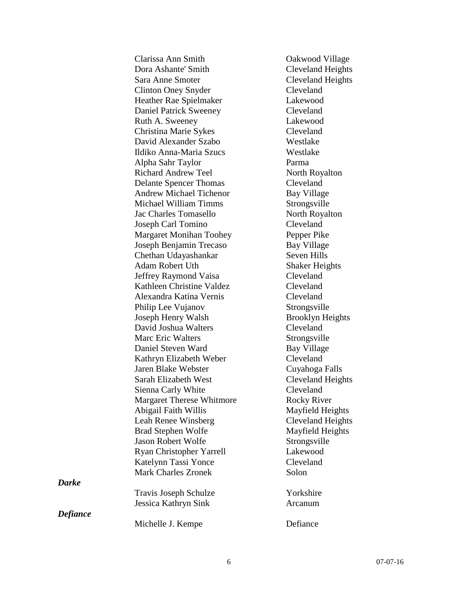|          | Clarissa Ann Smith               | Oakwood Village          |
|----------|----------------------------------|--------------------------|
|          | Dora Ashante' Smith              | Cleveland Heights        |
|          | Sara Anne Smoter                 | Cleveland Heights        |
|          | <b>Clinton Oney Snyder</b>       | Cleveland                |
|          | Heather Rae Spielmaker           | Lakewood                 |
|          | <b>Daniel Patrick Sweeney</b>    | Cleveland                |
|          | Ruth A. Sweeney                  | Lakewood                 |
|          | Christina Marie Sykes            | Cleveland                |
|          | David Alexander Szabo            | Westlake                 |
|          | Ildiko Anna-Maria Szucs          | Westlake                 |
|          | Alpha Sahr Taylor                | Parma                    |
|          | <b>Richard Andrew Teel</b>       | North Royalton           |
|          | <b>Delante Spencer Thomas</b>    | Cleveland                |
|          | <b>Andrew Michael Tichenor</b>   | <b>Bay Village</b>       |
|          | Michael William Timms            | Strongsville             |
|          | Jac Charles Tomasello            | North Royalton           |
|          | Joseph Carl Tomino               | Cleveland                |
|          | <b>Margaret Monihan Toohey</b>   | Pepper Pike              |
|          | Joseph Benjamin Trecaso          | Bay Village              |
|          | Chethan Udayashankar             | Seven Hills              |
|          | <b>Adam Robert Uth</b>           | <b>Shaker Heights</b>    |
|          | Jeffrey Raymond Vaisa            | Cleveland                |
|          | Kathleen Christine Valdez        | Cleveland                |
|          | Alexandra Katina Vernis          | Cleveland                |
|          | Philip Lee Vujanov               | Strongsville             |
|          | Joseph Henry Walsh               | <b>Brooklyn Heights</b>  |
|          | David Joshua Walters             | Cleveland                |
|          | <b>Marc Eric Walters</b>         | Strongsville             |
|          | Daniel Steven Ward               | Bay Village              |
|          | Kathryn Elizabeth Weber          | Cleveland                |
|          | Jaren Blake Webster              | Cuyahoga Falls           |
|          | Sarah Elizabeth West             | <b>Cleveland Heights</b> |
|          | Sienna Carly White               | Cleveland                |
|          | <b>Margaret Therese Whitmore</b> | <b>Rocky River</b>       |
|          | Abigail Faith Willis             | Mayfield Heights         |
|          | Leah Renee Winsberg              | <b>Cleveland Heights</b> |
|          | <b>Brad Stephen Wolfe</b>        | Mayfield Heights         |
|          | <b>Jason Robert Wolfe</b>        | Strongsville             |
|          | Ryan Christopher Yarrell         | Lakewood                 |
|          | Katelynn Tassi Yonce             | Cleveland                |
|          | <b>Mark Charles Zronek</b>       | Solon                    |
| Darke    |                                  |                          |
|          | Travis Joseph Schulze            | Yorkshire                |
|          | Jessica Kathryn Sink             | Arcanum                  |
| Defiance |                                  |                          |
|          | Michelle J. Kempe                | Defiance                 |
|          |                                  |                          |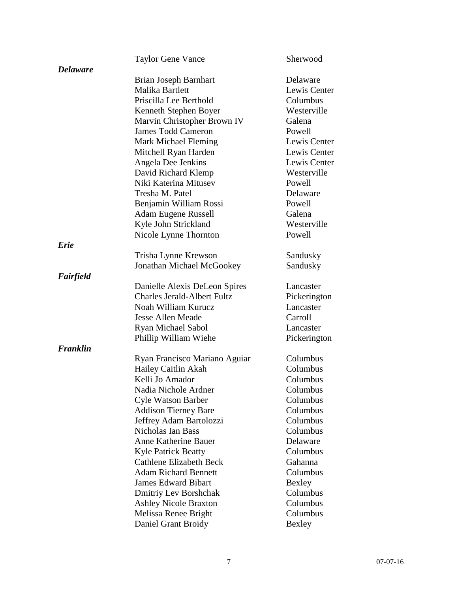|                 | <b>Taylor Gene Vance</b>           | Sherwood     |
|-----------------|------------------------------------|--------------|
| <b>Delaware</b> |                                    |              |
|                 | Brian Joseph Barnhart              | Delaware     |
|                 | Malika Bartlett                    | Lewis Center |
|                 | Priscilla Lee Berthold             | Columbus     |
|                 | Kenneth Stephen Boyer              | Westerville  |
|                 | Marvin Christopher Brown IV        | Galena       |
|                 | <b>James Todd Cameron</b>          | Powell       |
|                 | Mark Michael Fleming               | Lewis Center |
|                 | Mitchell Ryan Harden               | Lewis Center |
|                 | Angela Dee Jenkins                 | Lewis Center |
|                 | David Richard Klemp                | Westerville  |
|                 | Niki Katerina Mitusev              | Powell       |
|                 | Tresha M. Patel                    | Delaware     |
|                 | Benjamin William Rossi             | Powell       |
|                 | Adam Eugene Russell                | Galena       |
|                 | Kyle John Strickland               | Westerville  |
|                 | Nicole Lynne Thornton              | Powell       |
| Erie            |                                    |              |
|                 | Trisha Lynne Krewson               | Sandusky     |
|                 | Jonathan Michael McGookey          | Sandusky     |
| Fairfield       |                                    |              |
|                 | Danielle Alexis DeLeon Spires      | Lancaster    |
|                 | <b>Charles Jerald-Albert Fultz</b> | Pickerington |
|                 | Noah William Kurucz                | Lancaster    |
|                 | <b>Jesse Allen Meade</b>           | Carroll      |
|                 | Ryan Michael Sabol                 | Lancaster    |
|                 | Phillip William Wiehe              | Pickerington |
| Franklin        |                                    |              |
|                 | Ryan Francisco Mariano Aguiar      | Columbus     |
|                 | Hailey Caitlin Akah                | Columbus     |
|                 | Kelli Jo Amador                    | Columbus     |
|                 | Nadia Nichole Ardner               | Columbus     |
|                 | <b>Cyle Watson Barber</b>          | Columbus     |
|                 | <b>Addison Tierney Bare</b>        | Columbus     |
|                 | Jeffrey Adam Bartolozzi            | Columbus     |
|                 | Nicholas Ian Bass                  | Columbus     |
|                 | Anne Katherine Bauer               | Delaware     |
|                 | <b>Kyle Patrick Beatty</b>         | Columbus     |
|                 | <b>Cathlene Elizabeth Beck</b>     | Gahanna      |
|                 | <b>Adam Richard Bennett</b>        | Columbus     |
|                 | <b>James Edward Bibart</b>         | Bexley       |
|                 | Dmitriy Lev Borshchak              | Columbus     |
|                 | <b>Ashley Nicole Braxton</b>       | Columbus     |
|                 | Melissa Renee Bright               | Columbus     |
|                 | Daniel Grant Broidy                | Bexley       |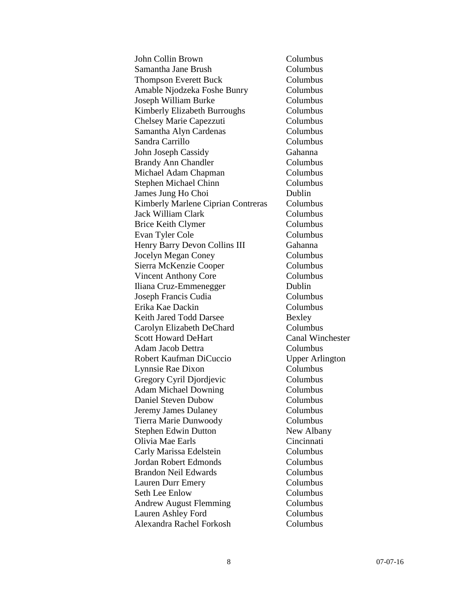| John Collin Brown                  | Columbus                |
|------------------------------------|-------------------------|
| Samantha Jane Brush                | Columbus                |
| <b>Thompson Everett Buck</b>       | Columbus                |
| Amable Njodzeka Foshe Bunry        | Columbus                |
| Joseph William Burke               | Columbus                |
| Kimberly Elizabeth Burroughs       | Columbus                |
| Chelsey Marie Capezzuti            | Columbus                |
| Samantha Alyn Cardenas             | Columbus                |
| Sandra Carrillo                    | Columbus                |
| John Joseph Cassidy                | Gahanna                 |
| <b>Brandy Ann Chandler</b>         | Columbus                |
| Michael Adam Chapman               | Columbus                |
| <b>Stephen Michael Chinn</b>       | Columbus                |
| James Jung Ho Choi                 | Dublin                  |
| Kimberly Marlene Ciprian Contreras | Columbus                |
| <b>Jack William Clark</b>          | Columbus                |
| <b>Brice Keith Clymer</b>          | Columbus                |
| Evan Tyler Cole                    | Columbus                |
| Henry Barry Devon Collins III      | Gahanna                 |
| Jocelyn Megan Coney                | Columbus                |
| Sierra McKenzie Cooper             | Columbus                |
| <b>Vincent Anthony Core</b>        | Columbus                |
| Iliana Cruz-Emmenegger             | Dublin                  |
| Joseph Francis Cudia               | Columbus                |
| Erika Kae Dackin                   | Columbus                |
| Keith Jared Todd Darsee            | Bexley                  |
| Carolyn Elizabeth DeChard          | Columbus                |
| <b>Scott Howard DeHart</b>         | <b>Canal Winchester</b> |
| Adam Jacob Dettra                  | Columbus                |
| Robert Kaufman DiCuccio            | <b>Upper Arlington</b>  |
| Lynnsie Rae Dixon                  | Columbus                |
| Gregory Cyril Djordjevic           | Columbus                |
| <b>Adam Michael Downing</b>        | Columbus                |
| <b>Daniel Steven Dubow</b>         | Columbus                |
| Jeremy James Dulaney               | Columbus                |
| Tierra Marie Dunwoody              | Columbus                |
| <b>Stephen Edwin Dutton</b>        | New Albany              |
| Olivia Mae Earls                   | Cincinnati              |
| Carly Marissa Edelstein            | Columbus                |
| <b>Jordan Robert Edmonds</b>       | Columbus                |
| <b>Brandon Neil Edwards</b>        | Columbus                |
| Lauren Durr Emery                  | Columbus                |
| Seth Lee Enlow                     | Columbus                |
| <b>Andrew August Flemming</b>      | Columbus                |
| Lauren Ashley Ford                 | Columbus                |
| Alexandra Rachel Forkosh           | Columbus                |
|                                    |                         |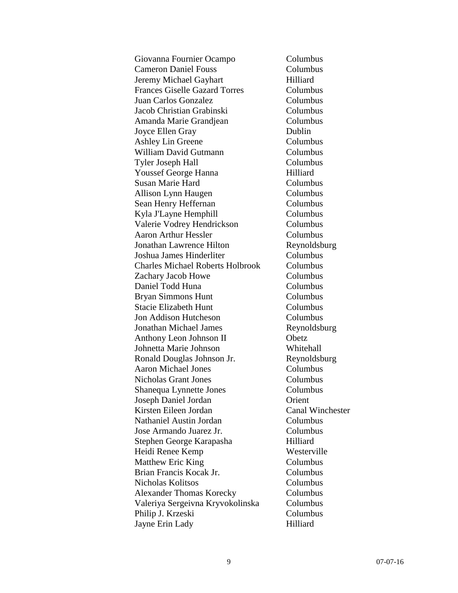| Giovanna Fournier Ocampo                | Columbus                |
|-----------------------------------------|-------------------------|
| <b>Cameron Daniel Fouss</b>             | Columbus                |
| Jeremy Michael Gayhart                  | Hilliard                |
| <b>Frances Giselle Gazard Torres</b>    | Columbus                |
| Juan Carlos Gonzalez                    | Columbus                |
| Jacob Christian Grabinski               | Columbus                |
| Amanda Marie Grandjean                  | Columbus                |
| Joyce Ellen Gray                        | Dublin                  |
| Ashley Lin Greene                       | Columbus                |
| William David Gutmann                   | Columbus                |
| <b>Tyler Joseph Hall</b>                | Columbus                |
| <b>Youssef George Hanna</b>             | Hilliard                |
| <b>Susan Marie Hard</b>                 | Columbus                |
| Allison Lynn Haugen                     | Columbus                |
| Sean Henry Heffernan                    | Columbus                |
| Kyla J'Layne Hemphill                   | Columbus                |
| Valerie Vodrey Hendrickson              | Columbus                |
| <b>Aaron Arthur Hessler</b>             | Columbus                |
| <b>Jonathan Lawrence Hilton</b>         | Reynoldsburg            |
| Joshua James Hinderliter                | Columbus                |
| <b>Charles Michael Roberts Holbrook</b> | Columbus                |
| Zachary Jacob Howe                      | Columbus                |
| Daniel Todd Huna                        | Columbus                |
| <b>Bryan Simmons Hunt</b>               | Columbus                |
| <b>Stacie Elizabeth Hunt</b>            | Columbus                |
| Jon Addison Hutcheson                   | Columbus                |
| <b>Jonathan Michael James</b>           | Reynoldsburg            |
| Anthony Leon Johnson II                 | Obetz                   |
| Johnetta Marie Johnson                  | Whitehall               |
| Ronald Douglas Johnson Jr.              | Reynoldsburg            |
| <b>Aaron Michael Jones</b>              | Columbus                |
| <b>Nicholas Grant Jones</b>             | Columbus                |
| Shanequa Lynnette Jones                 | Columbus                |
| Joseph Daniel Jordan                    | Orient                  |
| Kirsten Eileen Jordan                   | <b>Canal Winchester</b> |
| Nathaniel Austin Jordan                 | Columbus                |
| Jose Armando Juarez Jr.                 | Columbus                |
| Stephen George Karapasha                | Hilliard                |
| Heidi Renee Kemp                        | Westerville             |
| Matthew Eric King                       | Columbus                |
| Brian Francis Kocak Jr.                 | Columbus                |
| Nicholas Kolitsos                       | Columbus                |
| <b>Alexander Thomas Korecky</b>         | Columbus                |
| Valeriya Sergeivna Kryvokolinska        | Columbus                |
| Philip J. Krzeski                       | Columbus                |
| Jayne Erin Lady                         | Hilliard                |
|                                         |                         |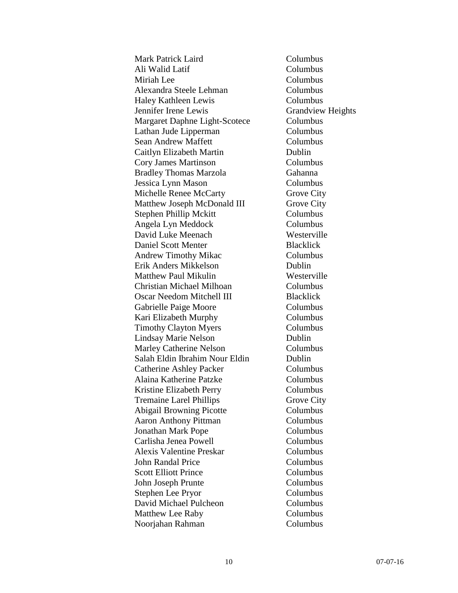Mark Patrick Laird Columbus Ali Walid Latif Columbus Miriah Lee Columbus Alexandra Steele Lehman Columbus Haley Kathleen Lewis Columbus Jennifer Irene Lewis Grandview Heights Margaret Daphne Light-Scotece Columbus Lathan Jude Lipperman Columbus Sean Andrew Maffett Columbus Caitlyn Elizabeth Martin Dublin Cory James Martinson Columbus Bradley Thomas Marzola Gahanna Jessica Lynn Mason Columbus Michelle Renee McCarty Grove City Matthew Joseph McDonald III Grove City Stephen Phillip Mckitt Columbus Angela Lyn Meddock Columbus David Luke Meenach Westerville Daniel Scott Menter Blacklick Andrew Timothy Mikac Columbus Erik Anders Mikkelson Dublin Matthew Paul Mikulin Westerville Christian Michael Milhoan Columbus Oscar Needom Mitchell III Blacklick Gabrielle Paige Moore Columbus Kari Elizabeth Murphy Columbus Timothy Clayton Myers Columbus Lindsay Marie Nelson Dublin Marley Catherine Nelson Columbus Salah Eldin Ibrahim Nour Eldin Dublin Catherine Ashley Packer Columbus Alaina Katherine Patzke Columbus Kristine Elizabeth Perry Columbus Tremaine Larel Phillips Grove City Abigail Browning Picotte Columbus Aaron Anthony Pittman Columbus Jonathan Mark Pope Columbus Carlisha Jenea Powell Columbus Alexis Valentine Preskar Columbus John Randal Price Columbus Scott Elliott Prince Columbus John Joseph Prunte Columbus Stephen Lee Pryor Columbus David Michael Pulcheon Columbus Matthew Lee Raby Columbus Noorjahan Rahman Columbus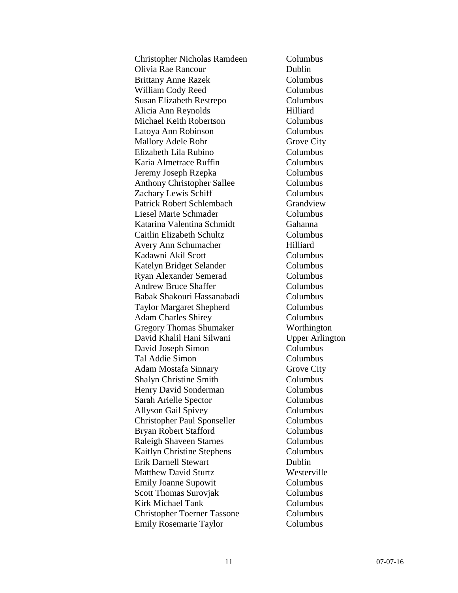| Christopher Nicholas Ramdeen       | Columbus               |
|------------------------------------|------------------------|
| Olivia Rae Rancour                 | Dublin                 |
| <b>Brittany Anne Razek</b>         | Columbus               |
| William Cody Reed                  | Columbus               |
| Susan Elizabeth Restrepo           | Columbus               |
| Alicia Ann Reynolds                | Hilliard               |
| Michael Keith Robertson            | Columbus               |
| Latoya Ann Robinson                | Columbus               |
| <b>Mallory Adele Rohr</b>          | Grove City             |
| Elizabeth Lila Rubino              | Columbus               |
| Karia Almetrace Ruffin             | Columbus               |
| Jeremy Joseph Rzepka               | Columbus               |
| <b>Anthony Christopher Sallee</b>  | Columbus               |
| Zachary Lewis Schiff               | Columbus               |
| Patrick Robert Schlembach          | Grandview              |
| Liesel Marie Schmader              | Columbus               |
| Katarina Valentina Schmidt         | Gahanna                |
| Caitlin Elizabeth Schultz          | Columbus               |
| Avery Ann Schumacher               | Hilliard               |
| Kadawni Akil Scott                 | Columbus               |
| Katelyn Bridget Selander           | Columbus               |
| Ryan Alexander Semerad             | Columbus               |
| <b>Andrew Bruce Shaffer</b>        | Columbus               |
| Babak Shakouri Hassanabadi         | Columbus               |
| <b>Taylor Margaret Shepherd</b>    | Columbus               |
| <b>Adam Charles Shirey</b>         | Columbus               |
| <b>Gregory Thomas Shumaker</b>     | Worthington            |
| David Khalil Hani Silwani          | <b>Upper Arlington</b> |
| David Joseph Simon                 | Columbus               |
| Tal Addie Simon                    | Columbus               |
| Adam Mostafa Sinnary               | <b>Grove City</b>      |
| <b>Shalyn Christine Smith</b>      | Columbus               |
| Henry David Sonderman              | Columbus               |
| Sarah Arielle Spector              | Columbus               |
| <b>Allyson Gail Spivey</b>         | Columbus               |
| <b>Christopher Paul Sponseller</b> | Columbus               |
| Bryan Robert Stafford              | Columbus               |
| <b>Raleigh Shaveen Starnes</b>     | Columbus               |
| Kaitlyn Christine Stephens         | Columbus               |
| <b>Erik Darnell Stewart</b>        | Dublin                 |
| <b>Matthew David Sturtz</b>        | Westerville            |
| <b>Emily Joanne Supowit</b>        | Columbus               |
| Scott Thomas Surovjak              | Columbus               |
| <b>Kirk Michael Tank</b>           | Columbus               |
| <b>Christopher Toerner Tassone</b> | Columbus               |
| <b>Emily Rosemarie Taylor</b>      | Columbus               |
|                                    |                        |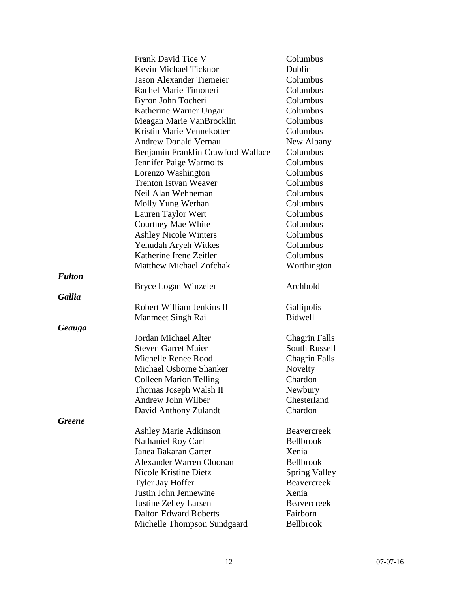|               | Frank David Tice V                 | Columbus             |
|---------------|------------------------------------|----------------------|
|               | Kevin Michael Ticknor              | Dublin               |
|               | <b>Jason Alexander Tiemeier</b>    | Columbus             |
|               | Rachel Marie Timoneri              | Columbus             |
|               | Byron John Tocheri                 | Columbus             |
|               | Katherine Warner Ungar             | Columbus             |
|               | Meagan Marie VanBrocklin           | Columbus             |
|               | Kristin Marie Vennekotter          | Columbus             |
|               | <b>Andrew Donald Vernau</b>        | New Albany           |
|               | Benjamin Franklin Crawford Wallace | Columbus             |
|               | Jennifer Paige Warmolts            | Columbus             |
|               | Lorenzo Washington                 | Columbus             |
|               | <b>Trenton Istvan Weaver</b>       | Columbus             |
|               | Neil Alan Wehneman                 | Columbus             |
|               | Molly Yung Werhan                  | Columbus             |
|               | Lauren Taylor Wert                 | Columbus             |
|               | Courtney Mae White                 | Columbus             |
|               | <b>Ashley Nicole Winters</b>       | Columbus             |
|               | Yehudah Aryeh Witkes               | Columbus             |
|               | Katherine Irene Zeitler            | Columbus             |
|               | Matthew Michael Zofchak            | Worthington          |
| <b>Fulton</b> |                                    |                      |
|               | Bryce Logan Winzeler               | Archbold             |
| <b>Gallia</b> |                                    |                      |
|               | Robert William Jenkins II          | Gallipolis           |
|               | Manmeet Singh Rai                  | Bidwell              |
| <b>Geauga</b> |                                    |                      |
|               | Jordan Michael Alter               | <b>Chagrin Falls</b> |
|               | <b>Steven Garret Maier</b>         | South Russell        |
|               | Michelle Renee Rood                | <b>Chagrin Falls</b> |
|               | Michael Osborne Shanker            | Novelty              |
|               | <b>Colleen Marion Telling</b>      | Chardon              |
|               | Thomas Joseph Walsh II             | Newbury              |
|               | Andrew John Wilber                 | Chesterland          |
|               | David Anthony Zulandt              | Chardon              |
| <b>Greene</b> |                                    |                      |
|               | <b>Ashley Marie Adkinson</b>       | <b>Beavercreek</b>   |
|               | Nathaniel Roy Carl                 | Bellbrook            |
|               | Janea Bakaran Carter               | Xenia                |
|               | <b>Alexander Warren Cloonan</b>    | <b>Bellbrook</b>     |
|               | Nicole Kristine Dietz              | Spring Valley        |
|               | Tyler Jay Hoffer                   | <b>Beavercreek</b>   |
|               | Justin John Jennewine              | Xenia                |
|               | <b>Justine Zelley Larsen</b>       | <b>Beavercreek</b>   |
|               | <b>Dalton Edward Roberts</b>       | Fairborn             |
|               | Michelle Thompson Sundgaard        | Bellbrook            |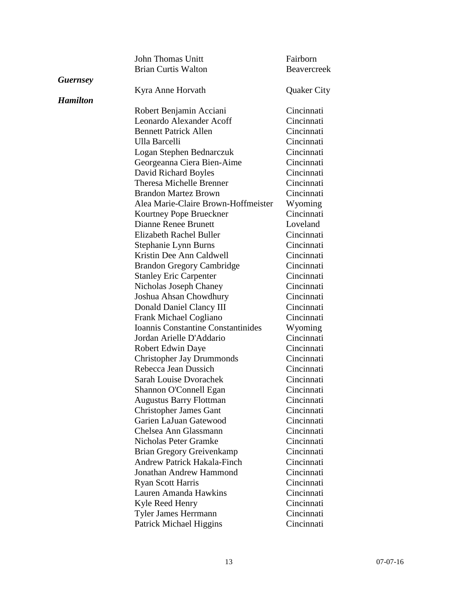|                 | <b>John Thomas Unitt</b>                  | Fairborn           |
|-----------------|-------------------------------------------|--------------------|
|                 | <b>Brian Curtis Walton</b>                | <b>Beavercreek</b> |
| <b>Guernsey</b> |                                           |                    |
|                 | Kyra Anne Horvath                         | <b>Quaker City</b> |
| <b>Hamilton</b> |                                           |                    |
|                 | Robert Benjamin Acciani                   | Cincinnati         |
|                 | Leonardo Alexander Acoff                  | Cincinnati         |
|                 | <b>Bennett Patrick Allen</b>              | Cincinnati         |
|                 | Ulla Barcelli                             | Cincinnati         |
|                 | Logan Stephen Bednarczuk                  | Cincinnati         |
|                 | Georgeanna Ciera Bien-Aime                | Cincinnati         |
|                 | David Richard Boyles                      | Cincinnati         |
|                 | Theresa Michelle Brenner                  | Cincinnati         |
|                 | <b>Brandon Martez Brown</b>               | Cincinnati         |
|                 | Alea Marie-Claire Brown-Hoffmeister       | Wyoming            |
|                 | Kourtney Pope Brueckner                   | Cincinnati         |
|                 | <b>Dianne Renee Brunett</b>               | Loveland           |
|                 | Elizabeth Rachel Buller                   | Cincinnati         |
|                 | Stephanie Lynn Burns                      | Cincinnati         |
|                 | Kristin Dee Ann Caldwell                  | Cincinnati         |
|                 | <b>Brandon Gregory Cambridge</b>          | Cincinnati         |
|                 | <b>Stanley Eric Carpenter</b>             | Cincinnati         |
|                 | Nicholas Joseph Chaney                    | Cincinnati         |
|                 | Joshua Ahsan Chowdhury                    | Cincinnati         |
|                 | Donald Daniel Clancy III                  | Cincinnati         |
|                 | Frank Michael Cogliano                    | Cincinnati         |
|                 | <b>Ioannis Constantine Constantinides</b> | Wyoming            |
|                 | Jordan Arielle D'Addario                  | Cincinnati         |
|                 | <b>Robert Edwin Daye</b>                  | Cincinnati         |
|                 | <b>Christopher Jay Drummonds</b>          | Cincinnati         |
|                 | Rebecca Jean Dussich                      | Cincinnati         |
|                 | Sarah Louise Dvorachek                    | Cincinnati         |
|                 | Shannon O'Connell Egan                    | Cincinnati         |
|                 | <b>Augustus Barry Flottman</b>            | Cincinnati         |
|                 | <b>Christopher James Gant</b>             | Cincinnati         |
|                 | Garien LaJuan Gatewood                    | Cincinnati         |
|                 | Chelsea Ann Glassmann                     | Cincinnati         |
|                 | Nicholas Peter Gramke                     | Cincinnati         |
|                 | <b>Brian Gregory Greivenkamp</b>          | Cincinnati         |
|                 | Andrew Patrick Hakala-Finch               | Cincinnati         |
|                 | Jonathan Andrew Hammond                   | Cincinnati         |
|                 | <b>Ryan Scott Harris</b>                  | Cincinnati         |
|                 | Lauren Amanda Hawkins                     | Cincinnati         |
|                 | Kyle Reed Henry                           | Cincinnati         |
|                 | Tyler James Herrmann                      | Cincinnati         |
|                 | <b>Patrick Michael Higgins</b>            | Cincinnati         |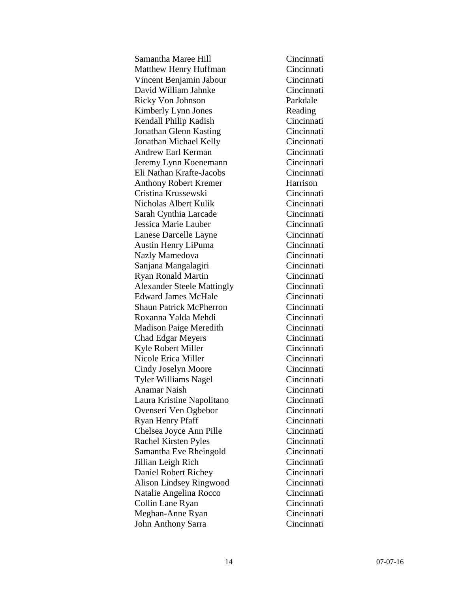Samantha Maree Hill Cincinnati Matthew Henry Huffman Cincinnati Vincent Benjamin Jabour Cincinnati David William Jahnke Cincinnati Ricky Von Johnson Parkdale Kimberly Lynn Jones Reading Kendall Philip Kadish Cincinnati Jonathan Glenn Kasting Cincinnati Jonathan Michael Kelly Cincinnati Andrew Earl Kerman Cincinnati Jeremy Lynn Koenemann Cincinnati Eli Nathan Krafte-Jacobs Cincinnati Anthony Robert Kremer Harrison Cristina Krussewski Cincinnati Nicholas Albert Kulik Cincinnati Sarah Cynthia Larcade Cincinnati Jessica Marie Lauber Cincinnati Lanese Darcelle Layne Cincinnati Austin Henry LiPuma Cincinnati Nazly Mamedova Cincinnati Sanjana Mangalagiri Cincinnati Ryan Ronald Martin Cincinnati Alexander Steele Mattingly Cincinnati Edward James McHale Cincinnati Shaun Patrick McPherron Cincinnati Roxanna Yalda Mehdi Cincinnati Madison Paige Meredith Cincinnati Chad Edgar Meyers Cincinnati Kyle Robert Miller Cincinnati Nicole Erica Miller Cincinnati Cindy Joselyn Moore Cincinnati Tyler Williams Nagel Cincinnati Anamar Naish Cincinnati Laura Kristine Napolitano Cincinnati Ovenseri Ven Ogbebor Cincinnati Ryan Henry Pfaff Cincinnati Chelsea Joyce Ann Pille Cincinnati Rachel Kirsten Pyles Cincinnati Samantha Eve Rheingold Cincinnati Jillian Leigh Rich Cincinnati Daniel Robert Richey Cincinnati Alison Lindsey Ringwood Cincinnati Natalie Angelina Rocco Cincinnati Collin Lane Ryan Cincinnati Meghan-Anne Ryan Cincinnati John Anthony Sarra Cincinnati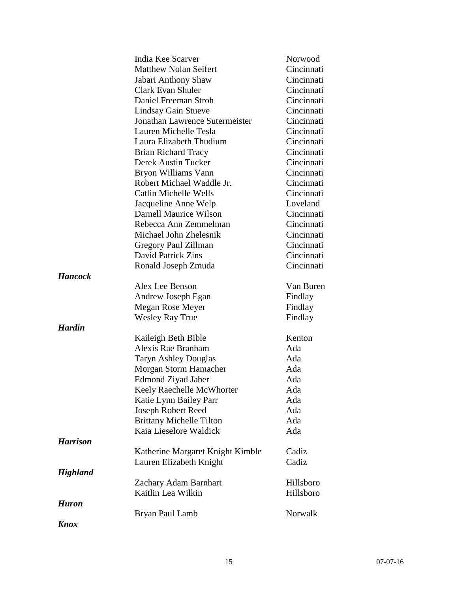|                 | India Kee Scarver                | Norwood    |
|-----------------|----------------------------------|------------|
|                 | <b>Matthew Nolan Seifert</b>     | Cincinnati |
|                 | Jabari Anthony Shaw              | Cincinnati |
|                 | Clark Evan Shuler                | Cincinnati |
|                 | Daniel Freeman Stroh             | Cincinnati |
|                 | <b>Lindsay Gain Stueve</b>       | Cincinnati |
|                 | Jonathan Lawrence Sutermeister   | Cincinnati |
|                 | Lauren Michelle Tesla            | Cincinnati |
|                 | Laura Elizabeth Thudium          | Cincinnati |
|                 | <b>Brian Richard Tracy</b>       | Cincinnati |
|                 | Derek Austin Tucker              | Cincinnati |
|                 | Bryon Williams Vann              | Cincinnati |
|                 | Robert Michael Waddle Jr.        | Cincinnati |
|                 | Catlin Michelle Wells            | Cincinnati |
|                 | Jacqueline Anne Welp             | Loveland   |
|                 | Darnell Maurice Wilson           | Cincinnati |
|                 | Rebecca Ann Zemmelman            | Cincinnati |
|                 | Michael John Zhelesnik           | Cincinnati |
|                 | Gregory Paul Zillman             | Cincinnati |
|                 | David Patrick Zins               | Cincinnati |
|                 | Ronald Joseph Zmuda              | Cincinnati |
| <b>Hancock</b>  |                                  |            |
|                 | Alex Lee Benson                  | Van Buren  |
|                 | Andrew Joseph Egan               | Findlay    |
|                 | Megan Rose Meyer                 | Findlay    |
|                 | <b>Wesley Ray True</b>           | Findlay    |
| <b>Hardin</b>   |                                  |            |
|                 | Kaileigh Beth Bible              | Kenton     |
|                 | Alexis Rae Branham               | Ada        |
|                 | <b>Taryn Ashley Douglas</b>      | Ada        |
|                 | Morgan Storm Hamacher            | Ada        |
|                 | Edmond Ziyad Jaber               | Ada        |
|                 | Keely Raechelle McWhorter        | Ada        |
|                 | Katie Lynn Bailey Parr           | Ada        |
|                 | Joseph Robert Reed               | Ada        |
|                 | <b>Brittany Michelle Tilton</b>  | Ada        |
|                 | Kaia Lieselore Waldick           | Ada        |
| <b>Harrison</b> |                                  |            |
|                 | Katherine Margaret Knight Kimble | Cadiz      |
|                 | Lauren Elizabeth Knight          | Cadiz      |
| <b>Highland</b> |                                  |            |
|                 | Zachary Adam Barnhart            | Hillsboro  |
|                 | Kaitlin Lea Wilkin               | Hillsboro  |
| <b>Huron</b>    |                                  |            |
|                 | Bryan Paul Lamb                  | Norwalk    |
| <b>Knox</b>     |                                  |            |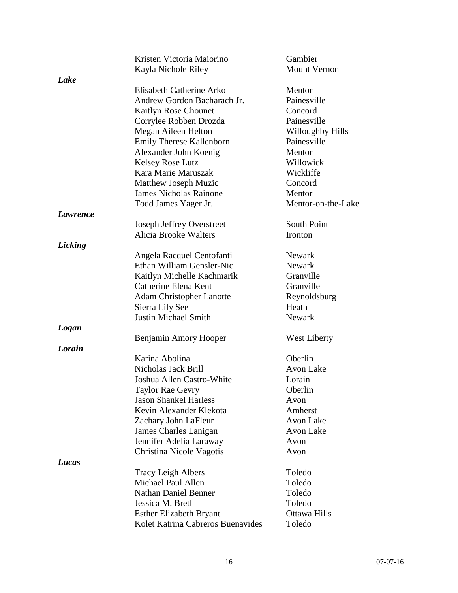|                 | Kristen Victoria Maiorino         | Gambier             |
|-----------------|-----------------------------------|---------------------|
|                 | Kayla Nichole Riley               | <b>Mount Vernon</b> |
| Lake            |                                   |                     |
|                 | Elisabeth Catherine Arko          | Mentor              |
|                 | Andrew Gordon Bacharach Jr.       | Painesville         |
|                 | Kaitlyn Rose Chounet              | Concord             |
|                 | Corrylee Robben Drozda            | Painesville         |
|                 | Megan Aileen Helton               | Willoughby Hills    |
|                 | <b>Emily Therese Kallenborn</b>   | Painesville         |
|                 | Alexander John Koenig             | Mentor              |
|                 | <b>Kelsey Rose Lutz</b>           | Willowick           |
|                 | Kara Marie Maruszak               | Wickliffe           |
|                 | Matthew Joseph Muzic              | Concord             |
|                 | <b>James Nicholas Rainone</b>     | Mentor              |
|                 | Todd James Yager Jr.              | Mentor-on-the-Lake  |
| <i>Lawrence</i> |                                   |                     |
|                 | <b>Joseph Jeffrey Overstreet</b>  | <b>South Point</b>  |
|                 | <b>Alicia Brooke Walters</b>      | Ironton             |
| Licking         |                                   |                     |
|                 | Angela Racquel Centofanti         | Newark              |
|                 | Ethan William Gensler-Nic         | <b>Newark</b>       |
|                 | Kaitlyn Michelle Kachmarik        | Granville           |
|                 | Catherine Elena Kent              | Granville           |
|                 | <b>Adam Christopher Lanotte</b>   | Reynoldsburg        |
|                 | Sierra Lily See                   | Heath               |
|                 | <b>Justin Michael Smith</b>       | <b>Newark</b>       |
| Logan           |                                   |                     |
|                 | Benjamin Amory Hooper             | <b>West Liberty</b> |
| Lorain          |                                   |                     |
|                 | Karina Abolina                    | Oberlin             |
|                 | Nicholas Jack Brill               | Avon Lake           |
|                 | Joshua Allen Castro-White         | Lorain              |
|                 | Taylor Rae Gevry                  | Oberlin             |
|                 | <b>Jason Shankel Harless</b>      | Avon                |
|                 | Kevin Alexander Klekota           | Amherst             |
|                 | Zachary John LaFleur              | Avon Lake           |
|                 | James Charles Lanigan             | Avon Lake           |
|                 | Jennifer Adelia Laraway           | Avon                |
|                 | Christina Nicole Vagotis          | Avon                |
| Lucas           |                                   |                     |
|                 | <b>Tracy Leigh Albers</b>         | Toledo              |
|                 | Michael Paul Allen                | Toledo              |
|                 | <b>Nathan Daniel Benner</b>       | Toledo              |
|                 | Jessica M. Bretl                  | Toledo              |
|                 | <b>Esther Elizabeth Bryant</b>    | Ottawa Hills        |
|                 | Kolet Katrina Cabreros Buenavides | Toledo              |
|                 |                                   |                     |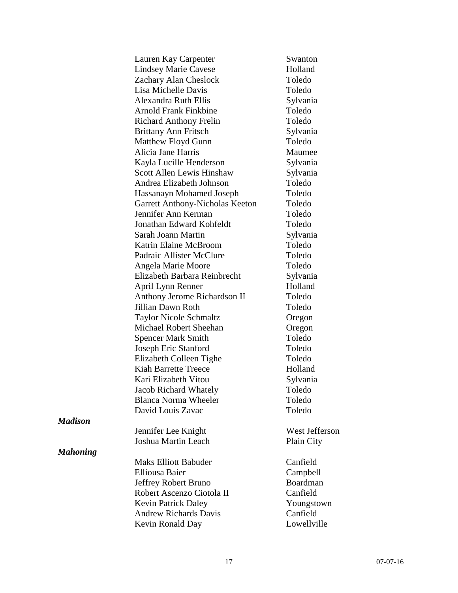|                 | Lauren Kay Carpenter             | Swanton        |
|-----------------|----------------------------------|----------------|
|                 | <b>Lindsey Marie Cavese</b>      | Holland        |
|                 | Zachary Alan Cheslock            | Toledo         |
|                 | Lisa Michelle Davis              | Toledo         |
|                 | <b>Alexandra Ruth Ellis</b>      | Sylvania       |
|                 | <b>Arnold Frank Finkbine</b>     | Toledo         |
|                 | <b>Richard Anthony Frelin</b>    | Toledo         |
|                 | <b>Brittany Ann Fritsch</b>      | Sylvania       |
|                 | Matthew Floyd Gunn               | Toledo         |
|                 | Alicia Jane Harris               | Maumee         |
|                 | Kayla Lucille Henderson          | Sylvania       |
|                 | <b>Scott Allen Lewis Hinshaw</b> | Sylvania       |
|                 | Andrea Elizabeth Johnson         | Toledo         |
|                 | Hassanayn Mohamed Joseph         | Toledo         |
|                 | Garrett Anthony-Nicholas Keeton  | Toledo         |
|                 | Jennifer Ann Kerman              | Toledo         |
|                 | Jonathan Edward Kohfeldt         | Toledo         |
|                 | Sarah Joann Martin               | Sylvania       |
|                 | Katrin Elaine McBroom            | Toledo         |
|                 | Padraic Allister McClure         | Toledo         |
|                 | Angela Marie Moore               | Toledo         |
|                 | Elizabeth Barbara Reinbrecht     | Sylvania       |
|                 | April Lynn Renner                | Holland        |
|                 | Anthony Jerome Richardson II     | Toledo         |
|                 | Jillian Dawn Roth                | Toledo         |
|                 | <b>Taylor Nicole Schmaltz</b>    | Oregon         |
|                 | Michael Robert Sheehan           | Oregon         |
|                 | <b>Spencer Mark Smith</b>        | Toledo         |
|                 | Joseph Eric Stanford             | Toledo         |
|                 | Elizabeth Colleen Tighe          | Toledo         |
|                 | <b>Kiah Barrette Treece</b>      | Holland        |
|                 | Kari Elizabeth Vitou             | Sylvania       |
|                 | Jacob Richard Whately            | Toledo         |
|                 | <b>Blanca Norma Wheeler</b>      | Toledo         |
|                 | David Louis Zavac                | Toledo         |
| <b>Madison</b>  |                                  |                |
|                 | Jennifer Lee Knight              | West Jefferson |
|                 | Joshua Martin Leach              | Plain City     |
| <b>Mahoning</b> |                                  |                |
|                 | <b>Maks Elliott Babuder</b>      | Canfield       |
|                 | <b>Elliousa Baier</b>            | Campbell       |
|                 | Jeffrey Robert Bruno             | Boardman       |
|                 | Robert Ascenzo Ciotola II        | Canfield       |
|                 | <b>Kevin Patrick Daley</b>       | Youngstown     |
|                 | <b>Andrew Richards Davis</b>     | Canfield       |
|                 | Kevin Ronald Day                 | Lowellville    |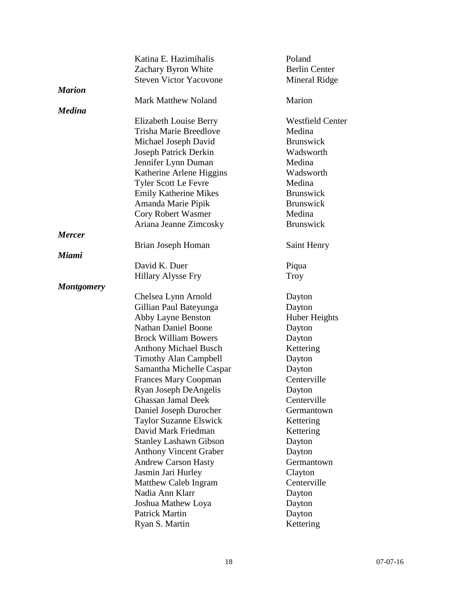|                   | Katina E. Hazimihalis         | Poland                  |
|-------------------|-------------------------------|-------------------------|
|                   | Zachary Byron White           | <b>Berlin Center</b>    |
|                   | <b>Steven Victor Yacovone</b> | <b>Mineral Ridge</b>    |
| <b>Marion</b>     |                               |                         |
|                   | <b>Mark Matthew Noland</b>    | Marion                  |
| <b>Medina</b>     |                               |                         |
|                   | <b>Elizabeth Louise Berry</b> | <b>Westfield Center</b> |
|                   | <b>Trisha Marie Breedlove</b> | Medina                  |
|                   | Michael Joseph David          | <b>Brunswick</b>        |
|                   | <b>Joseph Patrick Derkin</b>  | Wadsworth               |
|                   | Jennifer Lynn Duman           | Medina                  |
|                   | Katherine Arlene Higgins      | Wadsworth               |
|                   | <b>Tyler Scott Le Fevre</b>   | Medina                  |
|                   | <b>Emily Katherine Mikes</b>  | <b>Brunswick</b>        |
|                   | Amanda Marie Pipik            | <b>Brunswick</b>        |
|                   | Cory Robert Wasmer            | Medina                  |
|                   | Ariana Jeanne Zimcosky        | <b>Brunswick</b>        |
| <b>Mercer</b>     |                               |                         |
|                   | Brian Joseph Homan            | Saint Henry             |
| <b>Miami</b>      |                               |                         |
|                   | David K. Duer                 | Piqua                   |
|                   | <b>Hillary Alysse Fry</b>     | Troy                    |
| <b>Montgomery</b> |                               |                         |
|                   | Chelsea Lynn Arnold           | Dayton                  |
|                   | Gillian Paul Bateyunga        | Dayton                  |
|                   | Abby Layne Benston            | <b>Huber Heights</b>    |
|                   | <b>Nathan Daniel Boone</b>    | Dayton                  |
|                   | <b>Brock William Bowers</b>   | Dayton                  |
|                   | <b>Anthony Michael Busch</b>  | Kettering               |
|                   | <b>Timothy Alan Campbell</b>  | Dayton                  |
|                   | Samantha Michelle Caspar      | Dayton                  |
|                   | <b>Frances Mary Coopman</b>   | Centerville             |
|                   | Ryan Joseph DeAngelis         | Dayton                  |
|                   | <b>Ghassan Jamal Deek</b>     | Centerville             |
|                   | Daniel Joseph Durocher        | Germantown              |
|                   | <b>Taylor Suzanne Elswick</b> | Kettering               |
|                   | David Mark Friedman           | Kettering               |
|                   | <b>Stanley Lashawn Gibson</b> | Dayton                  |
|                   | <b>Anthony Vincent Graber</b> | Dayton                  |
|                   | <b>Andrew Carson Hasty</b>    | Germantown              |
|                   | Jasmin Jari Hurley            | Clayton                 |
|                   | Matthew Caleb Ingram          | Centerville             |
|                   | Nadia Ann Klarr               | Dayton                  |
|                   | Joshua Mathew Loya            | Dayton                  |
|                   | Patrick Martin                | Dayton                  |
|                   | Ryan S. Martin                | Kettering               |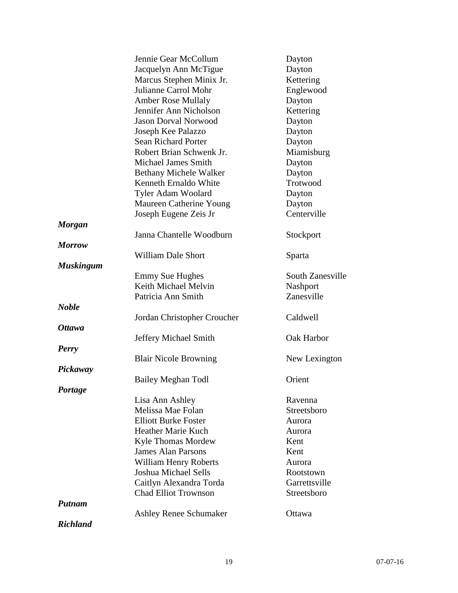|                  | Jennie Gear McCollum          | Dayton           |
|------------------|-------------------------------|------------------|
|                  | Jacquelyn Ann McTigue         | Dayton           |
|                  | Marcus Stephen Minix Jr.      | Kettering        |
|                  | Julianne Carrol Mohr          | Englewood        |
|                  | <b>Amber Rose Mullaly</b>     | Dayton           |
|                  | Jennifer Ann Nicholson        | Kettering        |
|                  | <b>Jason Dorval Norwood</b>   | Dayton           |
|                  | Joseph Kee Palazzo            | Dayton           |
|                  | <b>Sean Richard Porter</b>    | Dayton           |
|                  | Robert Brian Schwenk Jr.      | Miamisburg       |
|                  | <b>Michael James Smith</b>    | Dayton           |
|                  | <b>Bethany Michele Walker</b> | Dayton           |
|                  | Kenneth Ernaldo White         | Trotwood         |
|                  | Tyler Adam Woolard            | Dayton           |
|                  | Maureen Catherine Young       | Dayton           |
|                  | Joseph Eugene Zeis Jr         | Centerville      |
| <b>Morgan</b>    |                               |                  |
|                  | Janna Chantelle Woodburn      | Stockport        |
| <b>Morrow</b>    |                               |                  |
|                  | <b>William Dale Short</b>     | Sparta           |
| <b>Muskingum</b> |                               |                  |
|                  | <b>Emmy Sue Hughes</b>        | South Zanesville |
|                  | Keith Michael Melvin          | Nashport         |
|                  | Patricia Ann Smith            | Zanesville       |
| <b>Noble</b>     |                               |                  |
|                  | Jordan Christopher Croucher   | Caldwell         |
| <b>Ottawa</b>    |                               |                  |
|                  | Jeffery Michael Smith         | Oak Harbor       |
| <b>Perry</b>     |                               |                  |
|                  | <b>Blair Nicole Browning</b>  | New Lexington    |
| Pickaway         |                               |                  |
|                  | Bailey Meghan Todl            | Orient           |
| Portage          |                               |                  |
|                  | Lisa Ann Ashley               | Ravenna          |
|                  | Melissa Mae Folan             | Streetsboro      |
|                  | <b>Elliott Burke Foster</b>   | Aurora           |
|                  | Heather Marie Kuch            | Aurora           |
|                  | <b>Kyle Thomas Mordew</b>     | Kent             |
|                  | <b>James Alan Parsons</b>     | Kent             |
|                  | William Henry Roberts         | Aurora           |
|                  | <b>Joshua Michael Sells</b>   | Rootstown        |
|                  | Caitlyn Alexandra Torda       | Garrettsville    |
|                  | <b>Chad Elliot Trownson</b>   | Streetsboro      |
| <b>Putnam</b>    |                               |                  |
|                  | <b>Ashley Renee Schumaker</b> | Ottawa           |
| <b>Richland</b>  |                               |                  |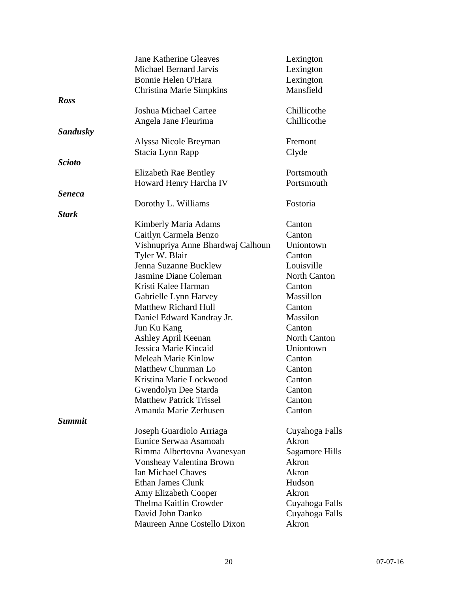|                 | <b>Jane Katherine Gleaves</b>                        | Lexington           |
|-----------------|------------------------------------------------------|---------------------|
|                 | <b>Michael Bernard Jarvis</b>                        | Lexington           |
|                 | Bonnie Helen O'Hara                                  | Lexington           |
|                 | <b>Christina Marie Simpkins</b>                      | Mansfield           |
| <b>Ross</b>     |                                                      |                     |
|                 | <b>Joshua Michael Cartee</b>                         | Chillicothe         |
|                 | Angela Jane Fleurima                                 | Chillicothe         |
| <b>Sandusky</b> |                                                      |                     |
|                 | Alyssa Nicole Breyman                                | Fremont             |
|                 | Stacia Lynn Rapp                                     | Clyde               |
| <b>Scioto</b>   |                                                      |                     |
|                 | <b>Elizabeth Rae Bentley</b>                         | Portsmouth          |
|                 | Howard Henry Harcha IV                               | Portsmouth          |
| <b>Seneca</b>   |                                                      |                     |
|                 | Dorothy L. Williams                                  | Fostoria            |
| <b>Stark</b>    |                                                      |                     |
|                 | Kimberly Maria Adams                                 | Canton              |
|                 | Caitlyn Carmela Benzo                                | Canton              |
|                 | Vishnupriya Anne Bhardwaj Calhoun                    | Uniontown           |
|                 | Tyler W. Blair                                       | Canton              |
|                 | Jenna Suzanne Bucklew                                | Louisville          |
|                 | Jasmine Diane Coleman                                | <b>North Canton</b> |
|                 | Kristi Kalee Harman                                  | Canton              |
|                 |                                                      | Massillon           |
|                 | Gabrielle Lynn Harvey<br><b>Matthew Richard Hull</b> |                     |
|                 |                                                      | Canton              |
|                 | Daniel Edward Kandray Jr.                            | Massilon            |
|                 | Jun Ku Kang                                          | Canton              |
|                 | Ashley April Keenan                                  | <b>North Canton</b> |
|                 | Jessica Marie Kincaid                                | Uniontown           |
|                 | <b>Meleah Marie Kinlow</b>                           | Canton              |
|                 | Matthew Chunman Lo                                   | Canton              |
|                 | Kristina Marie Lockwood                              | Canton              |
|                 | Gwendolyn Dee Starda                                 | Canton              |
|                 | <b>Matthew Patrick Trissel</b>                       | Canton              |
|                 | Amanda Marie Zerhusen                                | Canton              |
| <b>Summit</b>   |                                                      |                     |
|                 | Joseph Guardiolo Arriaga                             | Cuyahoga Falls      |
|                 | Eunice Serwaa Asamoah                                | Akron               |
|                 | Rimma Albertovna Avanesyan                           | Sagamore Hills      |
|                 | Vonsheay Valentina Brown                             | Akron               |
|                 | <b>Ian Michael Chaves</b>                            | Akron               |
|                 | Ethan James Clunk                                    | Hudson              |
|                 | Amy Elizabeth Cooper                                 | Akron               |
|                 | Thelma Kaitlin Crowder                               | Cuyahoga Falls      |
|                 | David John Danko                                     | Cuyahoga Falls      |
|                 | Maureen Anne Costello Dixon                          | Akron               |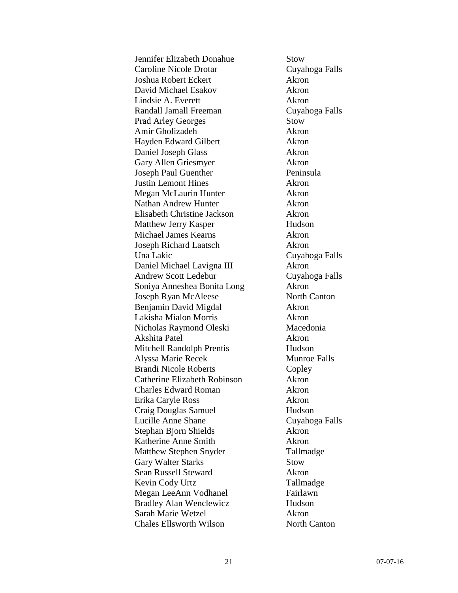| Jennifer Elizabeth Donahue                           | <b>Stow</b>           |
|------------------------------------------------------|-----------------------|
| <b>Caroline Nicole Drotar</b>                        | Cuyahoga Falls        |
| Joshua Robert Eckert                                 | Akron                 |
| David Michael Esakov                                 | Akron                 |
| Lindsie A. Everett                                   | Akron                 |
| Randall Jamall Freeman                               | Cuyahoga Falls        |
| <b>Prad Arley Georges</b>                            | <b>Stow</b>           |
| Amir Gholizadeh                                      | Akron                 |
| Hayden Edward Gilbert                                | Akron                 |
| Daniel Joseph Glass                                  | Akron                 |
| Gary Allen Griesmyer                                 | Akron                 |
| Joseph Paul Guenther                                 | Peninsula             |
| <b>Justin Lemont Hines</b>                           | Akron                 |
| Megan McLaurin Hunter                                | Akron                 |
| Nathan Andrew Hunter                                 | Akron                 |
| Elisabeth Christine Jackson                          | Akron                 |
| Matthew Jerry Kasper                                 | Hudson                |
| Michael James Kearns                                 | Akron                 |
| <b>Joseph Richard Laatsch</b>                        | Akron                 |
| Una Lakic                                            | Cuyahoga Falls        |
| Daniel Michael Lavigna III                           | Akron                 |
| <b>Andrew Scott Ledebur</b>                          | Cuyahoga Falls        |
| Soniya Anneshea Bonita Long                          | Akron                 |
| Joseph Ryan McAleese                                 | North Canton          |
| Benjamin David Migdal                                | Akron                 |
| Lakisha Mialon Morris                                | Akron                 |
| Nicholas Raymond Oleski                              | Macedonia             |
| Akshita Patel                                        | Akron                 |
| <b>Mitchell Randolph Prentis</b>                     | Hudson                |
| Alyssa Marie Recek                                   | <b>Munroe Falls</b>   |
| <b>Brandi Nicole Roberts</b>                         | Copley                |
| Catherine Elizabeth Robinson                         | Akron                 |
| <b>Charles Edward Roman</b>                          | Akron                 |
| Erika Caryle Ross                                    | Akron                 |
| Craig Douglas Samuel                                 | Hudson                |
| Lucille Anne Shane                                   | Cuyahoga Falls        |
| Stephan Bjorn Shields                                | Akron                 |
| Katherine Anne Smith                                 | Akron                 |
| <b>Matthew Stephen Snyder</b>                        | Tallmadge             |
| <b>Gary Walter Starks</b>                            | Stow                  |
| Sean Russell Steward                                 | Akron                 |
|                                                      |                       |
| Kevin Cody Urtz                                      | Tallmadge<br>Fairlawn |
| Megan LeeAnn Vodhanel                                | Hudson                |
| <b>Bradley Alan Wenclewicz</b><br>Sarah Marie Wetzel |                       |
|                                                      | Akron                 |
| <b>Chales Ellsworth Wilson</b>                       | North Canton          |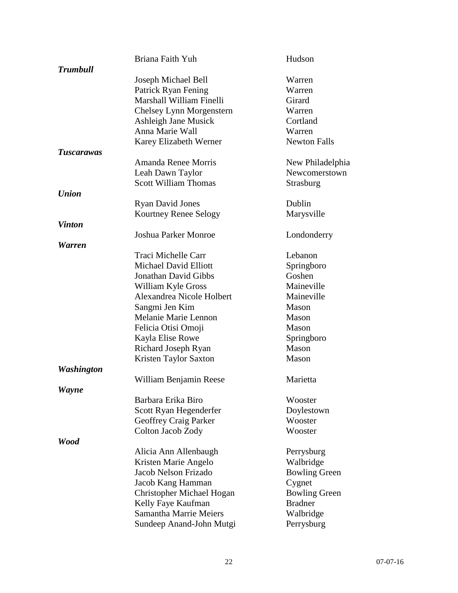|                   | Briana Faith Yuh                 | Hudson               |
|-------------------|----------------------------------|----------------------|
| <b>Trumbull</b>   |                                  |                      |
|                   | Joseph Michael Bell              | Warren               |
|                   | Patrick Ryan Fening              | Warren               |
|                   | Marshall William Finelli         | Girard               |
|                   | Chelsey Lynn Morgenstern         | Warren               |
|                   | <b>Ashleigh Jane Musick</b>      | Cortland             |
|                   | Anna Marie Wall                  | Warren               |
|                   | Karey Elizabeth Werner           | <b>Newton Falls</b>  |
| <b>Tuscarawas</b> |                                  |                      |
|                   | Amanda Renee Morris              | New Philadelphia     |
|                   | Leah Dawn Taylor                 | Newcomerstown        |
|                   | <b>Scott William Thomas</b>      | Strasburg            |
| <b>Union</b>      |                                  |                      |
|                   | <b>Ryan David Jones</b>          | Dublin               |
|                   | Kourtney Renee Selogy            | Marysville           |
| <b>Vinton</b>     |                                  |                      |
|                   | <b>Joshua Parker Monroe</b>      | Londonderry          |
| <b>Warren</b>     |                                  |                      |
|                   | Traci Michelle Carr              | Lebanon              |
|                   | <b>Michael David Elliott</b>     | Springboro           |
|                   | <b>Jonathan David Gibbs</b>      | Goshen               |
|                   | William Kyle Gross               | Maineville           |
|                   | Alexandrea Nicole Holbert        | Maineville           |
|                   | Sangmi Jen Kim                   | Mason                |
|                   | Melanie Marie Lennon             | Mason                |
|                   | Felicia Otisi Omoji              | Mason                |
|                   | Kayla Elise Rowe                 | Springboro           |
|                   | Richard Joseph Ryan              | Mason                |
|                   | Kristen Taylor Saxton            | Mason                |
| <b>Washington</b> |                                  |                      |
|                   | William Benjamin Reese           | Marietta             |
| <b>Wayne</b>      |                                  |                      |
|                   | Barbara Erika Biro               | Wooster              |
|                   | Scott Ryan Hegenderfer           | Doylestown           |
|                   | Geoffrey Craig Parker            | Wooster              |
|                   | Colton Jacob Zody                | Wooster              |
| <b>Wood</b>       |                                  |                      |
|                   | Alicia Ann Allenbaugh            | Perrysburg           |
|                   | Kristen Marie Angelo             | Walbridge            |
|                   | Jacob Nelson Frizado             | <b>Bowling Green</b> |
|                   | Jacob Kang Hamman                | Cygnet               |
|                   | <b>Christopher Michael Hogan</b> | <b>Bowling Green</b> |
|                   | Kelly Faye Kaufman               | <b>Bradner</b>       |
|                   | <b>Samantha Marrie Meiers</b>    | Walbridge            |
|                   | Sundeep Anand-John Mutgi         | Perrysburg           |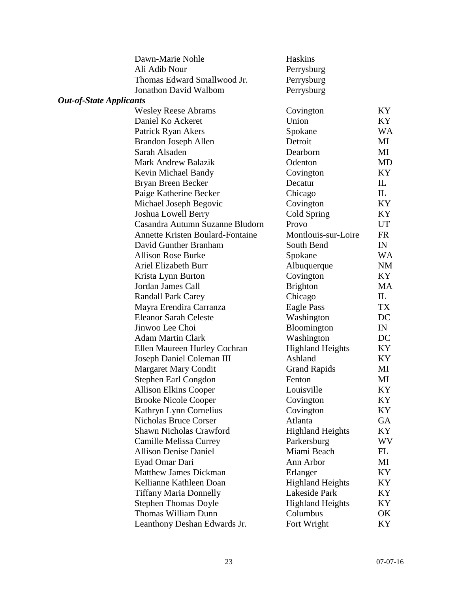|                                | Dawn-Marie Nohle                        | <b>Haskins</b>          |           |
|--------------------------------|-----------------------------------------|-------------------------|-----------|
|                                | Ali Adib Nour                           | Perrysburg              |           |
|                                | Thomas Edward Smallwood Jr.             | Perrysburg              |           |
|                                | <b>Jonathon David Walbom</b>            | Perrysburg              |           |
| <b>Out-of-State Applicants</b> |                                         |                         |           |
|                                | <b>Wesley Reese Abrams</b>              | Covington               | KY        |
|                                | Daniel Ko Ackeret                       | Union                   | KY        |
|                                | Patrick Ryan Akers                      | Spokane                 | WA        |
|                                | Brandon Joseph Allen                    | Detroit                 | MI        |
|                                | Sarah Alsaden                           | Dearborn                | MI        |
|                                | <b>Mark Andrew Balazik</b>              | Odenton                 | MD        |
|                                | Kevin Michael Bandy                     | Covington               | KY        |
|                                | Bryan Breen Becker                      | Decatur                 | IL        |
|                                | Paige Katherine Becker                  | Chicago                 | IL        |
|                                | Michael Joseph Begovic                  | Covington               | KY        |
|                                | Joshua Lowell Berry                     | Cold Spring             | KY        |
|                                | Casandra Autumn Suzanne Bludorn         | Provo                   | UT        |
|                                | <b>Annette Kristen Boulard-Fontaine</b> | Montlouis-sur-Loire     | FR        |
|                                | David Gunther Branham                   | South Bend              | IN        |
|                                | <b>Allison Rose Burke</b>               | Spokane                 | <b>WA</b> |
|                                | <b>Ariel Elizabeth Burr</b>             | Albuquerque             | NM        |
|                                | Krista Lynn Burton                      | Covington               | KY        |
|                                | Jordan James Call                       | <b>Brighton</b>         | MA        |
|                                | <b>Randall Park Carey</b>               | Chicago                 | IL        |
|                                | Mayra Erendira Carranza                 | Eagle Pass              | TX        |
|                                | <b>Eleanor Sarah Celeste</b>            | Washington              | DC        |
|                                | Jinwoo Lee Choi                         | Bloomington             | IN        |
|                                | <b>Adam Martin Clark</b>                | Washington              | DC        |
|                                | Ellen Maureen Hurley Cochran            | <b>Highland Heights</b> | KY        |
|                                | Joseph Daniel Coleman III               | Ashland                 | KY        |
|                                | <b>Margaret Mary Condit</b>             | <b>Grand Rapids</b>     | MI        |
|                                | Stephen Earl Congdon                    | Fenton                  | MI        |
|                                | Allison Elkins Cooper                   | Louisville              | ΚY        |
|                                | <b>Brooke Nicole Cooper</b>             | Covington               | KY        |
|                                | Kathryn Lynn Cornelius                  | Covington               | KY        |
|                                | Nicholas Bruce Corser                   | Atlanta                 | GA        |
|                                | Shawn Nicholas Crawford                 | <b>Highland Heights</b> | KY        |
|                                | Camille Melissa Currey                  | Parkersburg             | WV        |
|                                | <b>Allison Denise Daniel</b>            | Miami Beach             | FL        |
|                                | Eyad Omar Dari                          | Ann Arbor               | МI        |
|                                | <b>Matthew James Dickman</b>            | Erlanger                | KY        |
|                                | Kellianne Kathleen Doan                 | <b>Highland Heights</b> | KY        |
|                                | <b>Tiffany Maria Donnelly</b>           | Lakeside Park           | KY        |
|                                | <b>Stephen Thomas Doyle</b>             | <b>Highland Heights</b> | KY        |
|                                | Thomas William Dunn                     | Columbus                | OK        |
|                                | Leanthony Deshan Edwards Jr.            | Fort Wright             | KY        |
|                                |                                         |                         |           |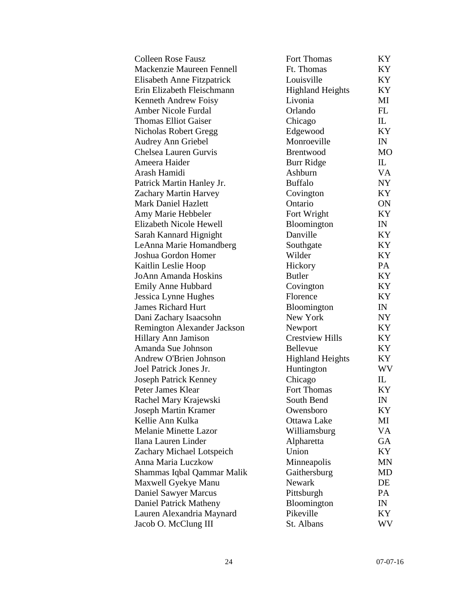| <b>Colleen Rose Fausz</b>    | Fort Thomas             | KY        |
|------------------------------|-------------------------|-----------|
| Mackenzie Maureen Fennell    | Ft. Thomas              | KY        |
| Elisabeth Anne Fitzpatrick   | Louisville              | KY        |
| Erin Elizabeth Fleischmann   | <b>Highland Heights</b> | KY        |
| Kenneth Andrew Foisy         | Livonia                 | MI        |
| <b>Amber Nicole Furdal</b>   | Orlando                 | FL        |
| <b>Thomas Elliot Gaiser</b>  | Chicago                 | IL        |
| Nicholas Robert Gregg        | Edgewood                | KY        |
| <b>Audrey Ann Griebel</b>    | Monroeville             | IN        |
| Chelsea Lauren Gurvis        | <b>Brentwood</b>        | <b>MO</b> |
| Ameera Haider                | <b>Burr Ridge</b>       | IL        |
| Arash Hamidi                 | Ashburn                 | VA        |
| Patrick Martin Hanley Jr.    | <b>Buffalo</b>          | NY        |
| Zachary Martin Harvey        | Covington               | KY        |
| <b>Mark Daniel Hazlett</b>   | Ontario                 | ON        |
| Amy Marie Hebbeler           | Fort Wright             | KY        |
| Elizabeth Nicole Hewell      | Bloomington             | IN        |
| Sarah Kannard Hignight       | Danville                | KY        |
| LeAnna Marie Homandberg      | Southgate               | KY        |
| Joshua Gordon Homer          | Wilder                  | KY        |
| Kaitlin Leslie Hoop          | Hickory                 | PA        |
| JoAnn Amanda Hoskins         | <b>Butler</b>           | KY        |
| Emily Anne Hubbard           | Covington               | KY        |
| Jessica Lynne Hughes         | Florence                | KY        |
| <b>James Richard Hurt</b>    | Bloomington             | IN        |
| Dani Zachary Isaacsohn       | New York                | NY        |
| Remington Alexander Jackson  | Newport                 | KY        |
| Hillary Ann Jamison          | <b>Crestview Hills</b>  | KY        |
| Amanda Sue Johnson           | Bellevue                | KY        |
| Andrew O'Brien Johnson       | <b>Highland Heights</b> | KY        |
| Joel Patrick Jones Jr.       | Huntington              | WV        |
| <b>Joseph Patrick Kenney</b> | Chicago                 | IL        |
| Peter James Klear            | Fort Thomas             | KY        |
| Rachel Mary Krajewski        | South Bend              | IN        |
| <b>Joseph Martin Kramer</b>  | Owensboro               | KY        |
| Kellie Ann Kulka             | Ottawa Lake             | MI        |
| <b>Melanie Minette Lazor</b> | Williamsburg            | VA        |
| Ilana Lauren Linder          | Alpharetta              | GA        |
| Zachary Michael Lotspeich    | Union                   | KY        |
| Anna Maria Luczkow           | Minneapolis             | MN        |
| Shammas Iqbal Qammar Malik   | Gaithersburg            | MD        |
| Maxwell Gyekye Manu          | Newark                  | DE        |
| Daniel Sawyer Marcus         | Pittsburgh              | PA        |
| Daniel Patrick Matheny       | Bloomington             | IN        |
| Lauren Alexandria Maynard    | Pikeville               | KY        |
| Jacob O. McClung III         | St. Albans              | WV        |
|                              |                         |           |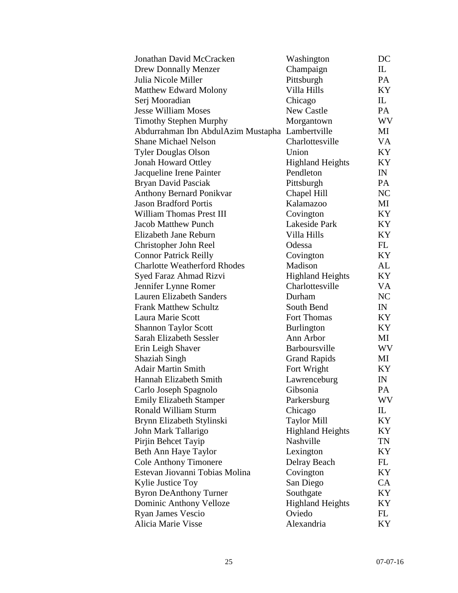| Jonathan David McCracken            | Washington                                      | DC  |
|-------------------------------------|-------------------------------------------------|-----|
| <b>Drew Donnally Menzer</b>         | Champaign                                       | IL  |
| Julia Nicole Miller                 | Pittsburgh                                      | PA  |
| <b>Matthew Edward Molony</b>        | Villa Hills                                     | KY  |
| Serj Mooradian                      | Chicago                                         | IL  |
| <b>Jesse William Moses</b>          | <b>New Castle</b>                               | PA  |
| <b>Timothy Stephen Murphy</b>       | Morgantown                                      | WV  |
|                                     | Abdurrahman Ibn AbdulAzim Mustapha Lambertville | MI  |
| <b>Shane Michael Nelson</b>         | Charlottesville                                 | VA  |
| <b>Tyler Douglas Olson</b>          | Union                                           | KY  |
| <b>Jonah Howard Ottley</b>          | <b>Highland Heights</b>                         | KY  |
| Jacqueline Irene Painter            | Pendleton                                       | IN  |
| Bryan David Pasciak                 | Pittsburgh                                      | PA  |
| <b>Anthony Bernard Ponikvar</b>     | Chapel Hill                                     | NC  |
| <b>Jason Bradford Portis</b>        | Kalamazoo                                       | MI  |
| William Thomas Prest III            | Covington                                       | KY  |
| <b>Jacob Matthew Punch</b>          | Lakeside Park                                   | KY  |
| Elizabeth Jane Reburn               | Villa Hills                                     | KY  |
| Christopher John Reel               | Odessa                                          | FL  |
| <b>Connor Patrick Reilly</b>        | Covington                                       | KY  |
| <b>Charlotte Weatherford Rhodes</b> | Madison                                         | AL  |
| Syed Faraz Ahmad Rizvi              | <b>Highland Heights</b>                         | KY  |
| Jennifer Lynne Romer                | Charlottesville                                 | VA  |
| <b>Lauren Elizabeth Sanders</b>     | Durham                                          | NC  |
| <b>Frank Matthew Schultz</b>        | South Bend                                      | IN  |
| Laura Marie Scott                   | Fort Thomas                                     | KY  |
| <b>Shannon Taylor Scott</b>         | <b>Burlington</b>                               | KY  |
| Sarah Elizabeth Sessler             | Ann Arbor                                       | МI  |
| Erin Leigh Shaver                   | Barboursville                                   | WV. |
| <b>Shaziah Singh</b>                | <b>Grand Rapids</b>                             | MI  |
| <b>Adair Martin Smith</b>           | Fort Wright                                     | KY  |
| Hannah Elizabeth Smith              | Lawrenceburg                                    | IN  |
| Carlo Joseph Spagnolo               | Gibsonia                                        | PA  |
| <b>Emily Elizabeth Stamper</b>      | Parkersburg                                     | WV. |
| <b>Ronald William Sturm</b>         | Chicago                                         | IL  |
| Brynn Elizabeth Stylinski           | <b>Taylor Mill</b>                              | KY  |
| John Mark Tallarigo                 | <b>Highland Heights</b>                         | KY  |
| Pirjin Behcet Tayip                 | Nashville                                       | TN  |
| Beth Ann Haye Taylor                | Lexington                                       | KY  |
| <b>Cole Anthony Timonere</b>        | Delray Beach                                    | FL  |
| Estevan Jiovanni Tobias Molina      | Covington                                       | KY  |
| Kylie Justice Toy                   | San Diego                                       | CA  |
| <b>Byron DeAnthony Turner</b>       | Southgate                                       | KY  |
| Dominic Anthony Velloze             | <b>Highland Heights</b>                         | KY  |
| Ryan James Vescio                   | Oviedo                                          | FL  |
| Alicia Marie Visse                  | Alexandria                                      | KY  |
|                                     |                                                 |     |